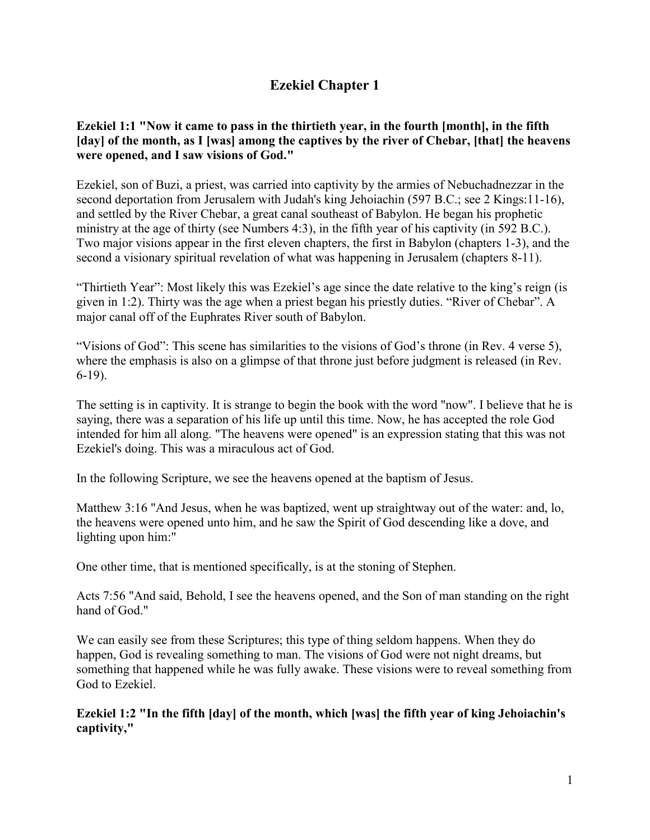# **Ezekiel Chapter 1**

### **Ezekiel 1:1 "Now it came to pass in the thirtieth year, in the fourth [month], in the fifth [day] of the month, as I [was] among the captives by the river of Chebar, [that] the heavens were opened, and I saw visions of God."**

Ezekiel, son of Buzi, a priest, was carried into captivity by the armies of Nebuchadnezzar in the second deportation from Jerusalem with Judah's king Jehoiachin (597 B.C.; see 2 Kings:11-16), and settled by the River Chebar, a great canal southeast of Babylon. He began his prophetic ministry at the age of thirty (see Numbers 4:3), in the fifth year of his captivity (in 592 B.C.). Two major visions appear in the first eleven chapters, the first in Babylon (chapters 1-3), and the second a visionary spiritual revelation of what was happening in Jerusalem (chapters 8-11).

"Thirtieth Year": Most likely this was Ezekiel's age since the date relative to the king's reign (is given in 1:2). Thirty was the age when a priest began his priestly duties. "River of Chebar". A major canal off of the Euphrates River south of Babylon.

"Visions of God": This scene has similarities to the visions of God's throne (in Rev. 4 verse 5), where the emphasis is also on a glimpse of that throne just before judgment is released (in Rev. 6-19).

The setting is in captivity. It is strange to begin the book with the word "now". I believe that he is saying, there was a separation of his life up until this time. Now, he has accepted the role God intended for him all along. "The heavens were opened" is an expression stating that this was not Ezekiel's doing. This was a miraculous act of God.

In the following Scripture, we see the heavens opened at the baptism of Jesus.

Matthew 3:16 "And Jesus, when he was baptized, went up straightway out of the water: and, lo, the heavens were opened unto him, and he saw the Spirit of God descending like a dove, and lighting upon him:"

One other time, that is mentioned specifically, is at the stoning of Stephen.

Acts 7:56 "And said, Behold, I see the heavens opened, and the Son of man standing on the right hand of God."

We can easily see from these Scriptures; this type of thing seldom happens. When they do happen, God is revealing something to man. The visions of God were not night dreams, but something that happened while he was fully awake. These visions were to reveal something from God to Ezekiel.

**Ezekiel 1:2 "In the fifth [day] of the month, which [was] the fifth year of king Jehoiachin's captivity,"**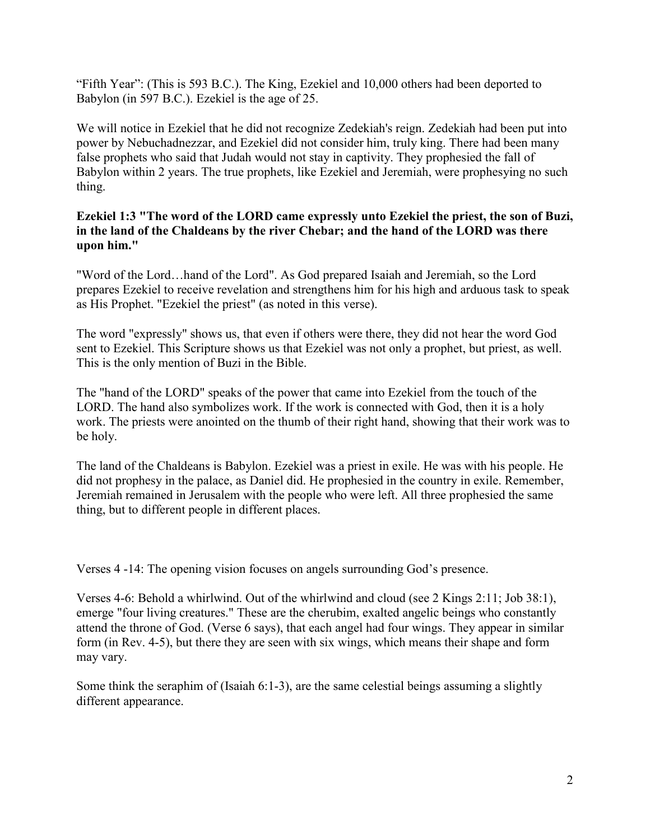"Fifth Year": (This is 593 B.C.). The King, Ezekiel and 10,000 others had been deported to Babylon (in 597 B.C.). Ezekiel is the age of 25.

We will notice in Ezekiel that he did not recognize Zedekiah's reign. Zedekiah had been put into power by Nebuchadnezzar, and Ezekiel did not consider him, truly king. There had been many false prophets who said that Judah would not stay in captivity. They prophesied the fall of Babylon within 2 years. The true prophets, like Ezekiel and Jeremiah, were prophesying no such thing.

### **Ezekiel 1:3 "The word of the LORD came expressly unto Ezekiel the priest, the son of Buzi, in the land of the Chaldeans by the river Chebar; and the hand of the LORD was there upon him."**

"Word of the Lord…hand of the Lord". As God prepared Isaiah and Jeremiah, so the Lord prepares Ezekiel to receive revelation and strengthens him for his high and arduous task to speak as His Prophet. "Ezekiel the priest" (as noted in this verse).

The word "expressly" shows us, that even if others were there, they did not hear the word God sent to Ezekiel. This Scripture shows us that Ezekiel was not only a prophet, but priest, as well. This is the only mention of Buzi in the Bible.

The "hand of the LORD" speaks of the power that came into Ezekiel from the touch of the LORD. The hand also symbolizes work. If the work is connected with God, then it is a holy work. The priests were anointed on the thumb of their right hand, showing that their work was to be holy.

The land of the Chaldeans is Babylon. Ezekiel was a priest in exile. He was with his people. He did not prophesy in the palace, as Daniel did. He prophesied in the country in exile. Remember, Jeremiah remained in Jerusalem with the people who were left. All three prophesied the same thing, but to different people in different places.

Verses 4 -14: The opening vision focuses on angels surrounding God's presence.

Verses 4-6: Behold a whirlwind. Out of the whirlwind and cloud (see 2 Kings 2:11; Job 38:1), emerge "four living creatures." These are the cherubim, exalted angelic beings who constantly attend the throne of God. (Verse 6 says), that each angel had four wings. They appear in similar form (in Rev. 4-5), but there they are seen with six wings, which means their shape and form may vary.

Some think the seraphim of (Isaiah 6:1-3), are the same celestial beings assuming a slightly different appearance.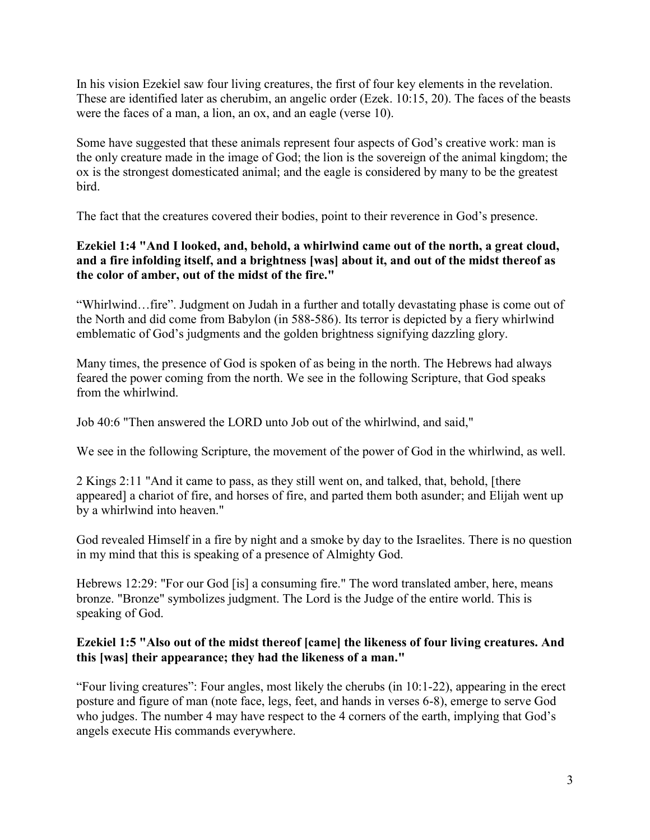In his vision Ezekiel saw four living creatures, the first of four key elements in the revelation. These are identified later as cherubim, an angelic order (Ezek. 10:15, 20). The faces of the beasts were the faces of a man, a lion, an ox, and an eagle (verse 10).

Some have suggested that these animals represent four aspects of God's creative work: man is the only creature made in the image of God; the lion is the sovereign of the animal kingdom; the ox is the strongest domesticated animal; and the eagle is considered by many to be the greatest bird.

The fact that the creatures covered their bodies, point to their reverence in God's presence.

### **Ezekiel 1:4 "And I looked, and, behold, a whirlwind came out of the north, a great cloud, and a fire infolding itself, and a brightness [was] about it, and out of the midst thereof as the color of amber, out of the midst of the fire."**

"Whirlwind…fire". Judgment on Judah in a further and totally devastating phase is come out of the North and did come from Babylon (in 588-586). Its terror is depicted by a fiery whirlwind emblematic of God's judgments and the golden brightness signifying dazzling glory.

Many times, the presence of God is spoken of as being in the north. The Hebrews had always feared the power coming from the north. We see in the following Scripture, that God speaks from the whirlwind.

Job 40:6 "Then answered the LORD unto Job out of the whirlwind, and said,"

We see in the following Scripture, the movement of the power of God in the whirlwind, as well.

2 Kings 2:11 "And it came to pass, as they still went on, and talked, that, behold, [there appeared] a chariot of fire, and horses of fire, and parted them both asunder; and Elijah went up by a whirlwind into heaven."

God revealed Himself in a fire by night and a smoke by day to the Israelites. There is no question in my mind that this is speaking of a presence of Almighty God.

Hebrews 12:29: "For our God [is] a consuming fire." The word translated amber, here, means bronze. "Bronze" symbolizes judgment. The Lord is the Judge of the entire world. This is speaking of God.

#### **Ezekiel 1:5 "Also out of the midst thereof [came] the likeness of four living creatures. And this [was] their appearance; they had the likeness of a man."**

"Four living creatures": Four angles, most likely the cherubs (in 10:1-22), appearing in the erect posture and figure of man (note face, legs, feet, and hands in verses 6-8), emerge to serve God who judges. The number 4 may have respect to the 4 corners of the earth, implying that God's angels execute His commands everywhere.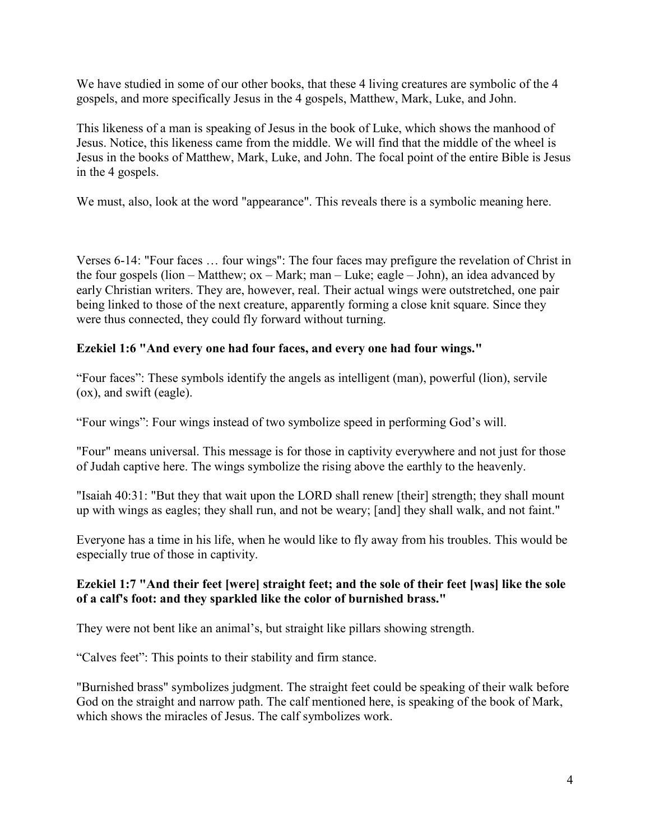We have studied in some of our other books, that these 4 living creatures are symbolic of the 4 gospels, and more specifically Jesus in the 4 gospels, Matthew, Mark, Luke, and John.

This likeness of a man is speaking of Jesus in the book of Luke, which shows the manhood of Jesus. Notice, this likeness came from the middle. We will find that the middle of the wheel is Jesus in the books of Matthew, Mark, Luke, and John. The focal point of the entire Bible is Jesus in the 4 gospels.

We must, also, look at the word "appearance". This reveals there is a symbolic meaning here.

Verses 6-14: "Four faces … four wings": The four faces may prefigure the revelation of Christ in the four gospels (lion – Matthew; ox – Mark; man – Luke; eagle – John), an idea advanced by early Christian writers. They are, however, real. Their actual wings were outstretched, one pair being linked to those of the next creature, apparently forming a close knit square. Since they were thus connected, they could fly forward without turning.

#### **Ezekiel 1:6 "And every one had four faces, and every one had four wings."**

"Four faces": These symbols identify the angels as intelligent (man), powerful (lion), servile (ox), and swift (eagle).

"Four wings": Four wings instead of two symbolize speed in performing God's will.

"Four" means universal. This message is for those in captivity everywhere and not just for those of Judah captive here. The wings symbolize the rising above the earthly to the heavenly.

"Isaiah 40:31: "But they that wait upon the LORD shall renew [their] strength; they shall mount up with wings as eagles; they shall run, and not be weary; [and] they shall walk, and not faint."

Everyone has a time in his life, when he would like to fly away from his troubles. This would be especially true of those in captivity.

### **Ezekiel 1:7 "And their feet [were] straight feet; and the sole of their feet [was] like the sole of a calf's foot: and they sparkled like the color of burnished brass."**

They were not bent like an animal's, but straight like pillars showing strength.

"Calves feet": This points to their stability and firm stance.

"Burnished brass" symbolizes judgment. The straight feet could be speaking of their walk before God on the straight and narrow path. The calf mentioned here, is speaking of the book of Mark, which shows the miracles of Jesus. The calf symbolizes work.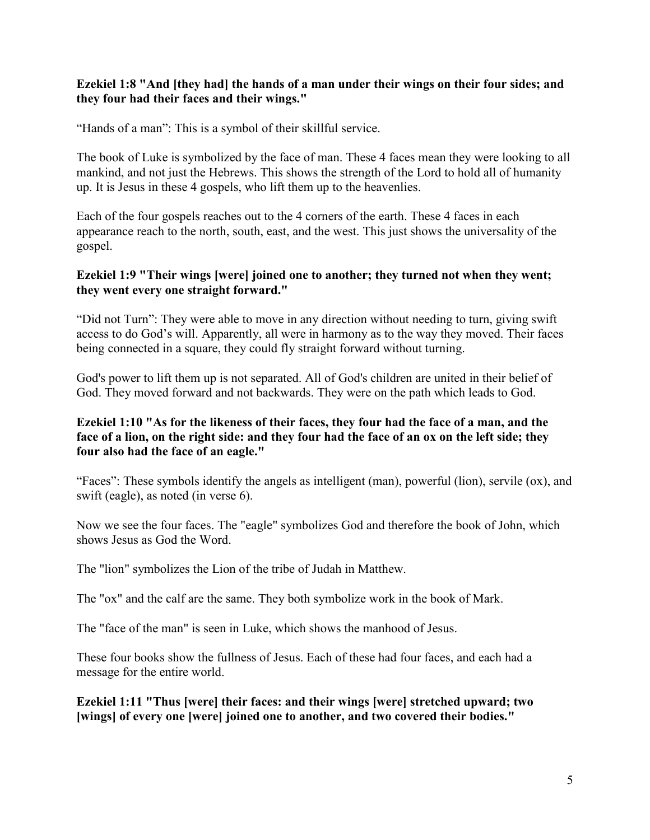#### **Ezekiel 1:8 "And [they had] the hands of a man under their wings on their four sides; and they four had their faces and their wings."**

"Hands of a man": This is a symbol of their skillful service.

The book of Luke is symbolized by the face of man. These 4 faces mean they were looking to all mankind, and not just the Hebrews. This shows the strength of the Lord to hold all of humanity up. It is Jesus in these 4 gospels, who lift them up to the heavenlies.

Each of the four gospels reaches out to the 4 corners of the earth. These 4 faces in each appearance reach to the north, south, east, and the west. This just shows the universality of the gospel.

### **Ezekiel 1:9 "Their wings [were] joined one to another; they turned not when they went; they went every one straight forward."**

"Did not Turn": They were able to move in any direction without needing to turn, giving swift access to do God's will. Apparently, all were in harmony as to the way they moved. Their faces being connected in a square, they could fly straight forward without turning.

God's power to lift them up is not separated. All of God's children are united in their belief of God. They moved forward and not backwards. They were on the path which leads to God.

### **Ezekiel 1:10 "As for the likeness of their faces, they four had the face of a man, and the face of a lion, on the right side: and they four had the face of an ox on the left side; they four also had the face of an eagle."**

"Faces": These symbols identify the angels as intelligent (man), powerful (lion), servile (ox), and swift (eagle), as noted (in verse 6).

Now we see the four faces. The "eagle" symbolizes God and therefore the book of John, which shows Jesus as God the Word.

The "lion" symbolizes the Lion of the tribe of Judah in Matthew.

The "ox" and the calf are the same. They both symbolize work in the book of Mark.

The "face of the man" is seen in Luke, which shows the manhood of Jesus.

These four books show the fullness of Jesus. Each of these had four faces, and each had a message for the entire world.

**Ezekiel 1:11 "Thus [were] their faces: and their wings [were] stretched upward; two [wings] of every one [were] joined one to another, and two covered their bodies."**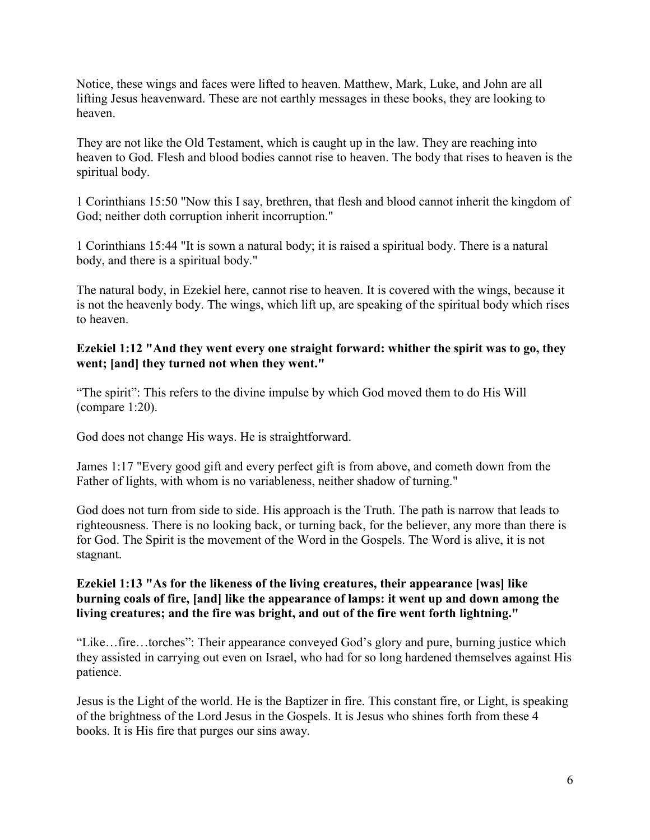Notice, these wings and faces were lifted to heaven. Matthew, Mark, Luke, and John are all lifting Jesus heavenward. These are not earthly messages in these books, they are looking to heaven.

They are not like the Old Testament, which is caught up in the law. They are reaching into heaven to God. Flesh and blood bodies cannot rise to heaven. The body that rises to heaven is the spiritual body.

1 Corinthians 15:50 "Now this I say, brethren, that flesh and blood cannot inherit the kingdom of God; neither doth corruption inherit incorruption."

1 Corinthians 15:44 "It is sown a natural body; it is raised a spiritual body. There is a natural body, and there is a spiritual body."

The natural body, in Ezekiel here, cannot rise to heaven. It is covered with the wings, because it is not the heavenly body. The wings, which lift up, are speaking of the spiritual body which rises to heaven.

### **Ezekiel 1:12 "And they went every one straight forward: whither the spirit was to go, they went; [and] they turned not when they went."**

"The spirit": This refers to the divine impulse by which God moved them to do His Will (compare 1:20).

God does not change His ways. He is straightforward.

James 1:17 "Every good gift and every perfect gift is from above, and cometh down from the Father of lights, with whom is no variableness, neither shadow of turning."

God does not turn from side to side. His approach is the Truth. The path is narrow that leads to righteousness. There is no looking back, or turning back, for the believer, any more than there is for God. The Spirit is the movement of the Word in the Gospels. The Word is alive, it is not stagnant.

### **Ezekiel 1:13 "As for the likeness of the living creatures, their appearance [was] like burning coals of fire, [and] like the appearance of lamps: it went up and down among the living creatures; and the fire was bright, and out of the fire went forth lightning."**

"Like…fire…torches": Their appearance conveyed God's glory and pure, burning justice which they assisted in carrying out even on Israel, who had for so long hardened themselves against His patience.

Jesus is the Light of the world. He is the Baptizer in fire. This constant fire, or Light, is speaking of the brightness of the Lord Jesus in the Gospels. It is Jesus who shines forth from these 4 books. It is His fire that purges our sins away.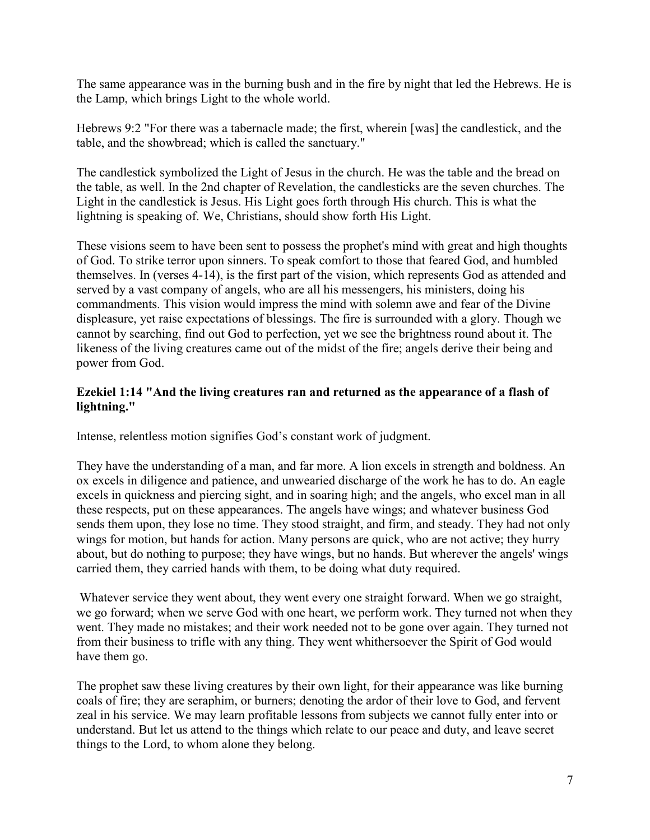The same appearance was in the burning bush and in the fire by night that led the Hebrews. He is the Lamp, which brings Light to the whole world.

Hebrews 9:2 "For there was a tabernacle made; the first, wherein [was] the candlestick, and the table, and the showbread; which is called the sanctuary."

The candlestick symbolized the Light of Jesus in the church. He was the table and the bread on the table, as well. In the 2nd chapter of Revelation, the candlesticks are the seven churches. The Light in the candlestick is Jesus. His Light goes forth through His church. This is what the lightning is speaking of. We, Christians, should show forth His Light.

These visions seem to have been sent to possess the prophet's mind with great and high thoughts of God. To strike terror upon sinners. To speak comfort to those that feared God, and humbled themselves. In (verses 4-14), is the first part of the vision, which represents God as attended and served by a vast company of angels, who are all his messengers, his ministers, doing his commandments. This vision would impress the mind with solemn awe and fear of the Divine displeasure, yet raise expectations of blessings. The fire is surrounded with a glory. Though we cannot by searching, find out God to perfection, yet we see the brightness round about it. The likeness of the living creatures came out of the midst of the fire; angels derive their being and power from God.

### **Ezekiel 1:14 "And the living creatures ran and returned as the appearance of a flash of lightning."**

Intense, relentless motion signifies God's constant work of judgment.

They have the understanding of a man, and far more. A lion excels in strength and boldness. An ox excels in diligence and patience, and unwearied discharge of the work he has to do. An eagle excels in quickness and piercing sight, and in soaring high; and the angels, who excel man in all these respects, put on these appearances. The angels have wings; and whatever business God sends them upon, they lose no time. They stood straight, and firm, and steady. They had not only wings for motion, but hands for action. Many persons are quick, who are not active; they hurry about, but do nothing to purpose; they have wings, but no hands. But wherever the angels' wings carried them, they carried hands with them, to be doing what duty required.

Whatever service they went about, they went every one straight forward. When we go straight, we go forward; when we serve God with one heart, we perform work. They turned not when they went. They made no mistakes; and their work needed not to be gone over again. They turned not from their business to trifle with any thing. They went whithersoever the Spirit of God would have them go.

The prophet saw these living creatures by their own light, for their appearance was like burning coals of fire; they are seraphim, or burners; denoting the ardor of their love to God, and fervent zeal in his service. We may learn profitable lessons from subjects we cannot fully enter into or understand. But let us attend to the things which relate to our peace and duty, and leave secret things to the Lord, to whom alone they belong.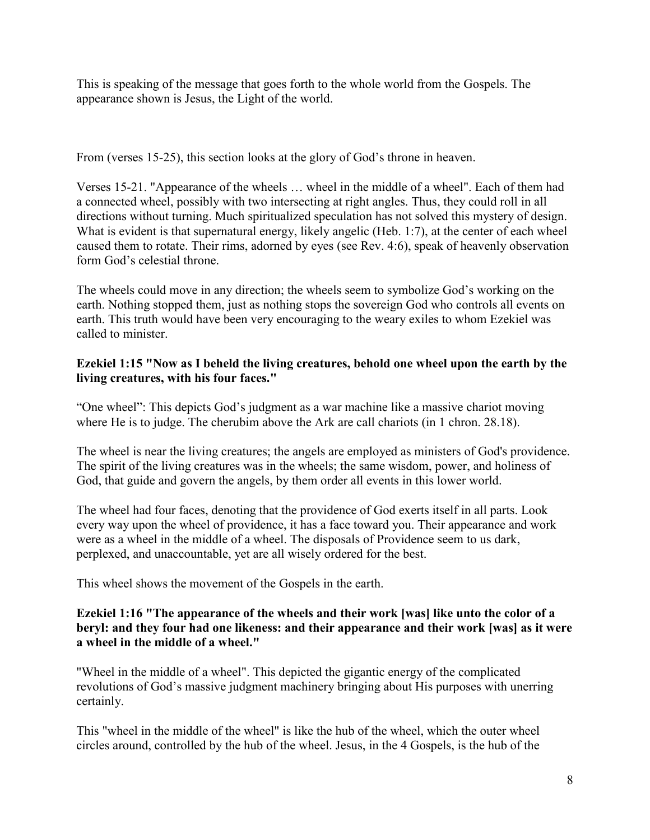This is speaking of the message that goes forth to the whole world from the Gospels. The appearance shown is Jesus, the Light of the world.

From (verses 15-25), this section looks at the glory of God's throne in heaven.

Verses 15-21. "Appearance of the wheels … wheel in the middle of a wheel". Each of them had a connected wheel, possibly with two intersecting at right angles. Thus, they could roll in all directions without turning. Much spiritualized speculation has not solved this mystery of design. What is evident is that supernatural energy, likely angelic (Heb. 1:7), at the center of each wheel caused them to rotate. Their rims, adorned by eyes (see Rev. 4:6), speak of heavenly observation form God's celestial throne.

The wheels could move in any direction; the wheels seem to symbolize God's working on the earth. Nothing stopped them, just as nothing stops the sovereign God who controls all events on earth. This truth would have been very encouraging to the weary exiles to whom Ezekiel was called to minister.

#### **Ezekiel 1:15 "Now as I beheld the living creatures, behold one wheel upon the earth by the living creatures, with his four faces."**

"One wheel": This depicts God's judgment as a war machine like a massive chariot moving where He is to judge. The cherubim above the Ark are call chariots (in 1 chron. 28.18).

The wheel is near the living creatures; the angels are employed as ministers of God's providence. The spirit of the living creatures was in the wheels; the same wisdom, power, and holiness of God, that guide and govern the angels, by them order all events in this lower world.

The wheel had four faces, denoting that the providence of God exerts itself in all parts. Look every way upon the wheel of providence, it has a face toward you. Their appearance and work were as a wheel in the middle of a wheel. The disposals of Providence seem to us dark, perplexed, and unaccountable, yet are all wisely ordered for the best.

This wheel shows the movement of the Gospels in the earth.

#### **Ezekiel 1:16 "The appearance of the wheels and their work [was] like unto the color of a beryl: and they four had one likeness: and their appearance and their work [was] as it were a wheel in the middle of a wheel."**

"Wheel in the middle of a wheel". This depicted the gigantic energy of the complicated revolutions of God's massive judgment machinery bringing about His purposes with unerring certainly.

This "wheel in the middle of the wheel" is like the hub of the wheel, which the outer wheel circles around, controlled by the hub of the wheel. Jesus, in the 4 Gospels, is the hub of the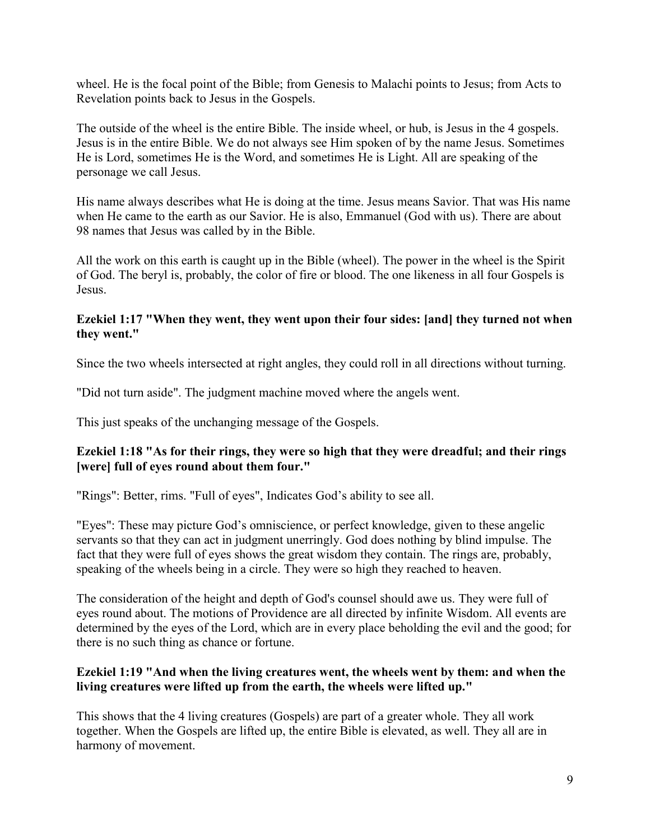wheel. He is the focal point of the Bible; from Genesis to Malachi points to Jesus; from Acts to Revelation points back to Jesus in the Gospels.

The outside of the wheel is the entire Bible. The inside wheel, or hub, is Jesus in the 4 gospels. Jesus is in the entire Bible. We do not always see Him spoken of by the name Jesus. Sometimes He is Lord, sometimes He is the Word, and sometimes He is Light. All are speaking of the personage we call Jesus.

His name always describes what He is doing at the time. Jesus means Savior. That was His name when He came to the earth as our Savior. He is also, Emmanuel (God with us). There are about 98 names that Jesus was called by in the Bible.

All the work on this earth is caught up in the Bible (wheel). The power in the wheel is the Spirit of God. The beryl is, probably, the color of fire or blood. The one likeness in all four Gospels is Jesus.

### **Ezekiel 1:17 "When they went, they went upon their four sides: [and] they turned not when they went."**

Since the two wheels intersected at right angles, they could roll in all directions without turning.

"Did not turn aside". The judgment machine moved where the angels went.

This just speaks of the unchanging message of the Gospels.

### **Ezekiel 1:18 "As for their rings, they were so high that they were dreadful; and their rings [were] full of eyes round about them four."**

"Rings": Better, rims. "Full of eyes", Indicates God's ability to see all.

"Eyes": These may picture God's omniscience, or perfect knowledge, given to these angelic servants so that they can act in judgment unerringly. God does nothing by blind impulse. The fact that they were full of eyes shows the great wisdom they contain. The rings are, probably, speaking of the wheels being in a circle. They were so high they reached to heaven.

The consideration of the height and depth of God's counsel should awe us. They were full of eyes round about. The motions of Providence are all directed by infinite Wisdom. All events are determined by the eyes of the Lord, which are in every place beholding the evil and the good; for there is no such thing as chance or fortune.

### **Ezekiel 1:19 "And when the living creatures went, the wheels went by them: and when the living creatures were lifted up from the earth, the wheels were lifted up."**

This shows that the 4 living creatures (Gospels) are part of a greater whole. They all work together. When the Gospels are lifted up, the entire Bible is elevated, as well. They all are in harmony of movement.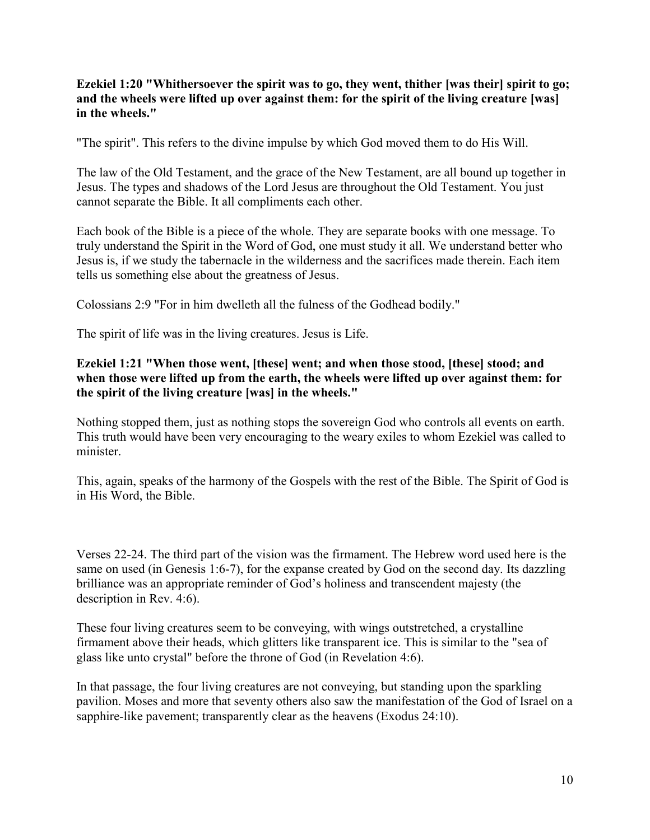### **Ezekiel 1:20 "Whithersoever the spirit was to go, they went, thither [was their] spirit to go; and the wheels were lifted up over against them: for the spirit of the living creature [was] in the wheels."**

"The spirit". This refers to the divine impulse by which God moved them to do His Will.

The law of the Old Testament, and the grace of the New Testament, are all bound up together in Jesus. The types and shadows of the Lord Jesus are throughout the Old Testament. You just cannot separate the Bible. It all compliments each other.

Each book of the Bible is a piece of the whole. They are separate books with one message. To truly understand the Spirit in the Word of God, one must study it all. We understand better who Jesus is, if we study the tabernacle in the wilderness and the sacrifices made therein. Each item tells us something else about the greatness of Jesus.

Colossians 2:9 "For in him dwelleth all the fulness of the Godhead bodily."

The spirit of life was in the living creatures. Jesus is Life.

### **Ezekiel 1:21 "When those went, [these] went; and when those stood, [these] stood; and when those were lifted up from the earth, the wheels were lifted up over against them: for the spirit of the living creature [was] in the wheels."**

Nothing stopped them, just as nothing stops the sovereign God who controls all events on earth. This truth would have been very encouraging to the weary exiles to whom Ezekiel was called to minister.

This, again, speaks of the harmony of the Gospels with the rest of the Bible. The Spirit of God is in His Word, the Bible.

Verses 22-24. The third part of the vision was the firmament. The Hebrew word used here is the same on used (in Genesis 1:6-7), for the expanse created by God on the second day. Its dazzling brilliance was an appropriate reminder of God's holiness and transcendent majesty (the description in Rev. 4:6).

These four living creatures seem to be conveying, with wings outstretched, a crystalline firmament above their heads, which glitters like transparent ice. This is similar to the "sea of glass like unto crystal" before the throne of God (in Revelation 4:6).

In that passage, the four living creatures are not conveying, but standing upon the sparkling pavilion. Moses and more that seventy others also saw the manifestation of the God of Israel on a sapphire-like pavement; transparently clear as the heavens (Exodus 24:10).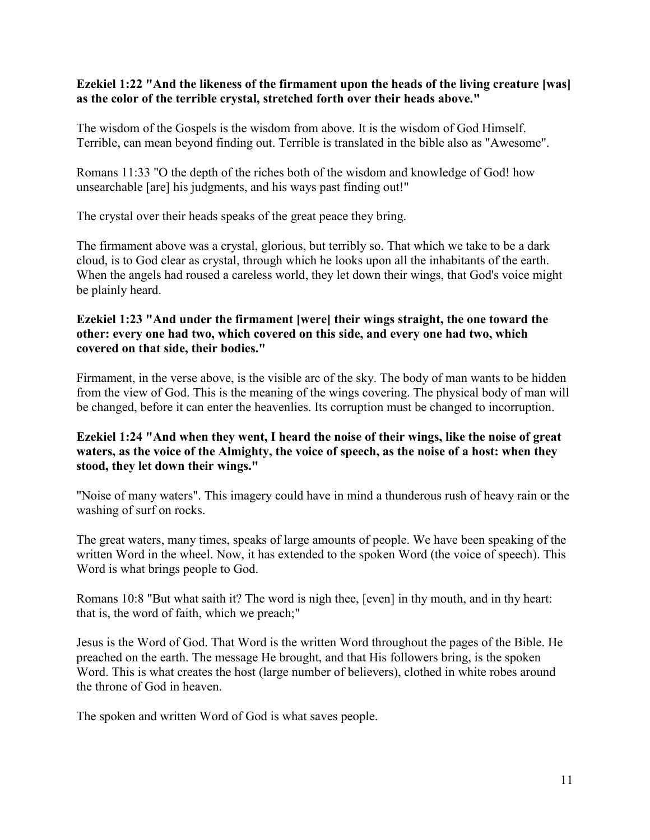### **Ezekiel 1:22 "And the likeness of the firmament upon the heads of the living creature [was] as the color of the terrible crystal, stretched forth over their heads above."**

The wisdom of the Gospels is the wisdom from above. It is the wisdom of God Himself. Terrible, can mean beyond finding out. Terrible is translated in the bible also as "Awesome".

Romans 11:33 "O the depth of the riches both of the wisdom and knowledge of God! how unsearchable [are] his judgments, and his ways past finding out!"

The crystal over their heads speaks of the great peace they bring.

The firmament above was a crystal, glorious, but terribly so. That which we take to be a dark cloud, is to God clear as crystal, through which he looks upon all the inhabitants of the earth. When the angels had roused a careless world, they let down their wings, that God's voice might be plainly heard.

#### **Ezekiel 1:23 "And under the firmament [were] their wings straight, the one toward the other: every one had two, which covered on this side, and every one had two, which covered on that side, their bodies."**

Firmament, in the verse above, is the visible arc of the sky. The body of man wants to be hidden from the view of God. This is the meaning of the wings covering. The physical body of man will be changed, before it can enter the heavenlies. Its corruption must be changed to incorruption.

### **Ezekiel 1:24 "And when they went, I heard the noise of their wings, like the noise of great waters, as the voice of the Almighty, the voice of speech, as the noise of a host: when they stood, they let down their wings."**

"Noise of many waters". This imagery could have in mind a thunderous rush of heavy rain or the washing of surf on rocks.

The great waters, many times, speaks of large amounts of people. We have been speaking of the written Word in the wheel. Now, it has extended to the spoken Word (the voice of speech). This Word is what brings people to God.

Romans 10:8 "But what saith it? The word is nigh thee, [even] in thy mouth, and in thy heart: that is, the word of faith, which we preach;"

Jesus is the Word of God. That Word is the written Word throughout the pages of the Bible. He preached on the earth. The message He brought, and that His followers bring, is the spoken Word. This is what creates the host (large number of believers), clothed in white robes around the throne of God in heaven.

The spoken and written Word of God is what saves people.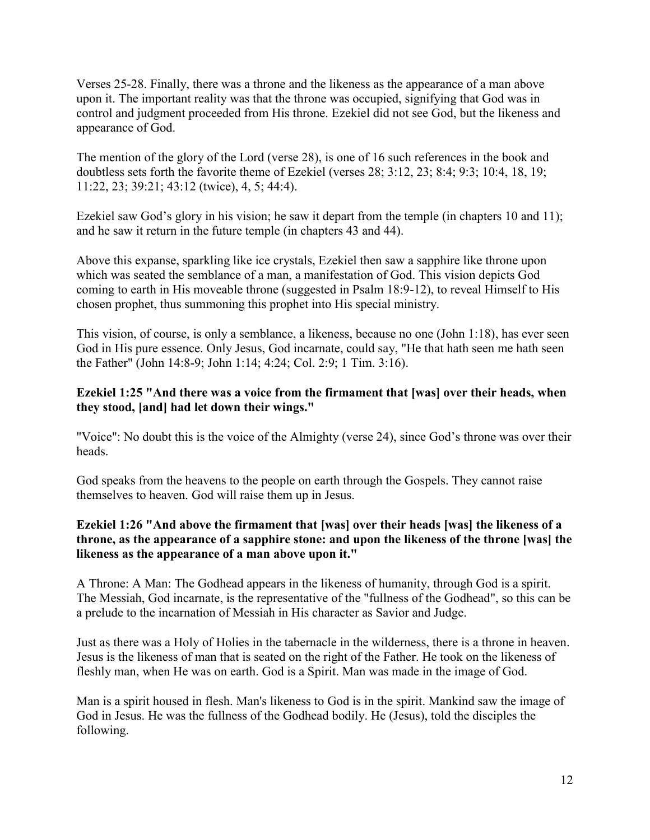Verses 25-28. Finally, there was a throne and the likeness as the appearance of a man above upon it. The important reality was that the throne was occupied, signifying that God was in control and judgment proceeded from His throne. Ezekiel did not see God, but the likeness and appearance of God.

The mention of the glory of the Lord (verse 28), is one of 16 such references in the book and doubtless sets forth the favorite theme of Ezekiel (verses 28; 3:12, 23; 8:4; 9:3; 10:4, 18, 19; 11:22, 23; 39:21; 43:12 (twice), 4, 5; 44:4).

Ezekiel saw God's glory in his vision; he saw it depart from the temple (in chapters 10 and 11); and he saw it return in the future temple (in chapters 43 and 44).

Above this expanse, sparkling like ice crystals, Ezekiel then saw a sapphire like throne upon which was seated the semblance of a man, a manifestation of God. This vision depicts God coming to earth in His moveable throne (suggested in Psalm 18:9-12), to reveal Himself to His chosen prophet, thus summoning this prophet into His special ministry.

This vision, of course, is only a semblance, a likeness, because no one (John 1:18), has ever seen God in His pure essence. Only Jesus, God incarnate, could say, "He that hath seen me hath seen the Father" (John 14:8-9; John 1:14; 4:24; Col. 2:9; 1 Tim. 3:16).

### **Ezekiel 1:25 "And there was a voice from the firmament that [was] over their heads, when they stood, [and] had let down their wings."**

"Voice": No doubt this is the voice of the Almighty (verse 24), since God's throne was over their heads.

God speaks from the heavens to the people on earth through the Gospels. They cannot raise themselves to heaven. God will raise them up in Jesus.

### **Ezekiel 1:26 "And above the firmament that [was] over their heads [was] the likeness of a throne, as the appearance of a sapphire stone: and upon the likeness of the throne [was] the likeness as the appearance of a man above upon it."**

A Throne: A Man: The Godhead appears in the likeness of humanity, through God is a spirit. The Messiah, God incarnate, is the representative of the "fullness of the Godhead", so this can be a prelude to the incarnation of Messiah in His character as Savior and Judge.

Just as there was a Holy of Holies in the tabernacle in the wilderness, there is a throne in heaven. Jesus is the likeness of man that is seated on the right of the Father. He took on the likeness of fleshly man, when He was on earth. God is a Spirit. Man was made in the image of God.

Man is a spirit housed in flesh. Man's likeness to God is in the spirit. Mankind saw the image of God in Jesus. He was the fullness of the Godhead bodily. He (Jesus), told the disciples the following.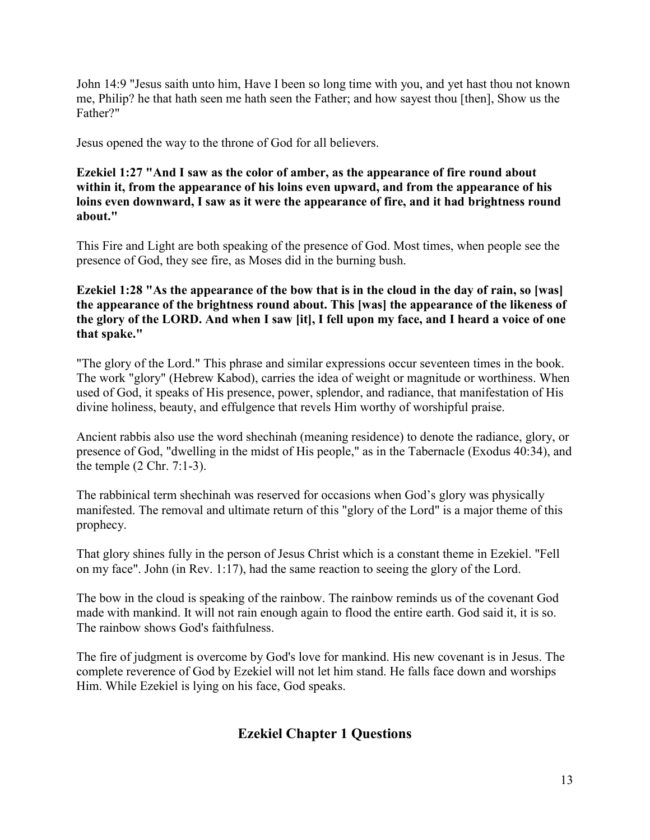John 14:9 "Jesus saith unto him, Have I been so long time with you, and yet hast thou not known me, Philip? he that hath seen me hath seen the Father; and how sayest thou [then], Show us the Father?"

Jesus opened the way to the throne of God for all believers.

**Ezekiel 1:27 "And I saw as the color of amber, as the appearance of fire round about within it, from the appearance of his loins even upward, and from the appearance of his loins even downward, I saw as it were the appearance of fire, and it had brightness round about."**

This Fire and Light are both speaking of the presence of God. Most times, when people see the presence of God, they see fire, as Moses did in the burning bush.

**Ezekiel 1:28 "As the appearance of the bow that is in the cloud in the day of rain, so [was] the appearance of the brightness round about. This [was] the appearance of the likeness of the glory of the LORD. And when I saw [it], I fell upon my face, and I heard a voice of one that spake."**

"The glory of the Lord." This phrase and similar expressions occur seventeen times in the book. The work "glory" (Hebrew Kabod), carries the idea of weight or magnitude or worthiness. When used of God, it speaks of His presence, power, splendor, and radiance, that manifestation of His divine holiness, beauty, and effulgence that revels Him worthy of worshipful praise.

Ancient rabbis also use the word shechinah (meaning residence) to denote the radiance, glory, or presence of God, "dwelling in the midst of His people," as in the Tabernacle (Exodus 40:34), and the temple (2 Chr. 7:1-3).

The rabbinical term shechinah was reserved for occasions when God's glory was physically manifested. The removal and ultimate return of this "glory of the Lord" is a major theme of this prophecy.

That glory shines fully in the person of Jesus Christ which is a constant theme in Ezekiel. "Fell on my face". John (in Rev. 1:17), had the same reaction to seeing the glory of the Lord.

The bow in the cloud is speaking of the rainbow. The rainbow reminds us of the covenant God made with mankind. It will not rain enough again to flood the entire earth. God said it, it is so. The rainbow shows God's faithfulness.

The fire of judgment is overcome by God's love for mankind. His new covenant is in Jesus. The complete reverence of God by Ezekiel will not let him stand. He falls face down and worships Him. While Ezekiel is lying on his face, God speaks.

## **Ezekiel Chapter 1 Questions**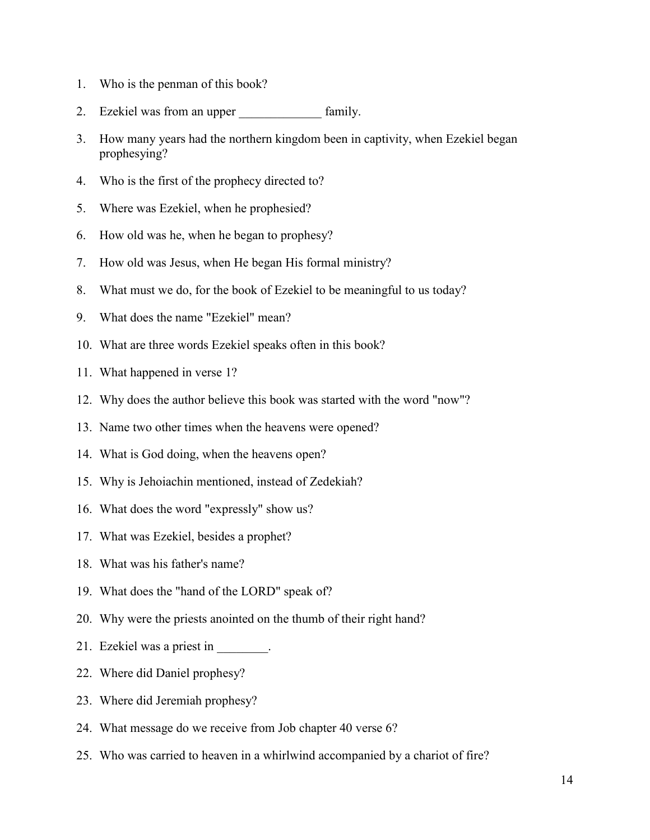- 1. Who is the penman of this book?
- 2. Ezekiel was from an upper family.
- 3. How many years had the northern kingdom been in captivity, when Ezekiel began prophesying?
- 4. Who is the first of the prophecy directed to?
- 5. Where was Ezekiel, when he prophesied?
- 6. How old was he, when he began to prophesy?
- 7. How old was Jesus, when He began His formal ministry?
- 8. What must we do, for the book of Ezekiel to be meaningful to us today?
- 9. What does the name "Ezekiel" mean?
- 10. What are three words Ezekiel speaks often in this book?
- 11. What happened in verse 1?
- 12. Why does the author believe this book was started with the word "now"?
- 13. Name two other times when the heavens were opened?
- 14. What is God doing, when the heavens open?
- 15. Why is Jehoiachin mentioned, instead of Zedekiah?
- 16. What does the word "expressly" show us?
- 17. What was Ezekiel, besides a prophet?
- 18. What was his father's name?
- 19. What does the "hand of the LORD" speak of?
- 20. Why were the priests anointed on the thumb of their right hand?
- 21. Ezekiel was a priest in \_\_\_\_\_\_\_\_.
- 22. Where did Daniel prophesy?
- 23. Where did Jeremiah prophesy?
- 24. What message do we receive from Job chapter 40 verse 6?
- 25. Who was carried to heaven in a whirlwind accompanied by a chariot of fire?